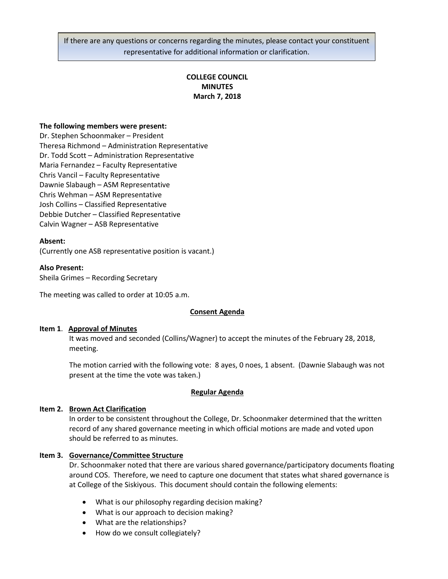If there are any questions or concerns regarding the minutes, please contact your constituent representative for additional information or clarification.

# **COLLEGE COUNCIL MINUTES March 7, 2018**

### **The following members were present:**

Dr. Stephen Schoonmaker – President Theresa Richmond – Administration Representative Dr. Todd Scott – Administration Representative Maria Fernandez – Faculty Representative Chris Vancil – Faculty Representative Dawnie Slabaugh – ASM Representative Chris Wehman – ASM Representative Josh Collins – Classified Representative Debbie Dutcher – Classified Representative Calvin Wagner – ASB Representative

### **Absent:**

(Currently one ASB representative position is vacant.)

#### **Also Present:**

Sheila Grimes – Recording Secretary

The meeting was called to order at 10:05 a.m.

### **Consent Agenda**

#### **Item 1**. **Approval of Minutes**

It was moved and seconded (Collins/Wagner) to accept the minutes of the February 28, 2018, meeting.

The motion carried with the following vote: 8 ayes, 0 noes, 1 absent. (Dawnie Slabaugh was not present at the time the vote was taken.)

#### **Regular Agenda**

### **Item 2. Brown Act Clarification**

In order to be consistent throughout the College, Dr. Schoonmaker determined that the written record of any shared governance meeting in which official motions are made and voted upon should be referred to as minutes.

### **Item 3. Governance/Committee Structure**

Dr. Schoonmaker noted that there are various shared governance/participatory documents floating around COS. Therefore, we need to capture one document that states what shared governance is at College of the Siskiyous. This document should contain the following elements:

- What is our philosophy regarding decision making?
- What is our approach to decision making?
- What are the relationships?
- How do we consult collegiately?